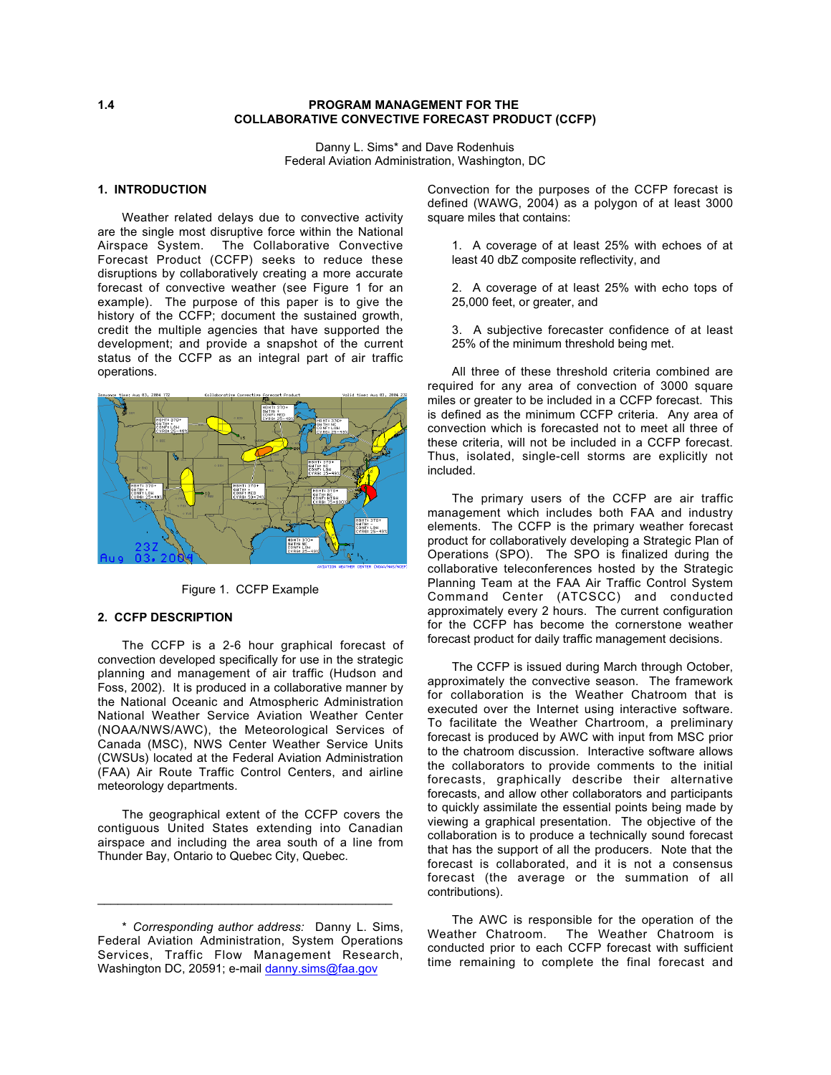### **1.4 PROGRAM MANAGEMENT FOR THE COLLABORATIVE CONVECTIVE FORECAST PRODUCT (CCFP)**

Danny L. Sims\* and Dave Rodenhuis Federal Aviation Administration, Washington, DC

## **1. INTRODUCTION**

Weather related delays due to convective activity are the single most disruptive force within the National Airspace System. The Collaborative Convective Forecast Product (CCFP) seeks to reduce these disruptions by collaboratively creating a more accurate forecast of convective weather (see Figure 1 for an example). The purpose of this paper is to give the history of the CCFP; document the sustained growth, credit the multiple agencies that have supported the development; and provide a snapshot of the current status of the CCFP as an integral part of air traffic operations.



Figure 1. CCFP Example

### **2. CCFP DESCRIPTION**

The CCFP is a 2-6 hour graphical forecast of convection developed specifically for use in the strategic planning and management of air traffic (Hudson and Foss, 2002). It is produced in a collaborative manner by the National Oceanic and Atmospheric Administration National Weather Service Aviation Weather Center (NOAA/NWS/AWC), the Meteorological Services of Canada (MSC), NWS Center Weather Service Units (CWSUs) located at the Federal Aviation Administration (FAA) Air Route Traffic Control Centers, and airline meteorology departments.

The geographical extent of the CCFP covers the contiguous United States extending into Canadian airspace and including the area south of a line from Thunder Bay, Ontario to Quebec City, Quebec.

\_\_\_\_\_\_\_\_\_\_\_\_\_\_\_\_\_\_\_\_\_\_\_\_\_\_\_\_\_\_\_\_\_\_\_\_\_\_\_\_\_\_\_\_

Convection for the purposes of the CCFP forecast is defined (WAWG, 2004) as a polygon of at least 3000 square miles that contains:

1. A coverage of at least 25% with echoes of at least 40 dbZ composite reflectivity, and

2. A coverage of at least 25% with echo tops of 25,000 feet, or greater, and

3. A subjective forecaster confidence of at least 25% of the minimum threshold being met.

All three of these threshold criteria combined are required for any area of convection of 3000 square miles or greater to be included in a CCFP forecast. This is defined as the minimum CCFP criteria. Any area of convection which is forecasted not to meet all three of these criteria, will not be included in a CCFP forecast. Thus, isolated, single-cell storms are explicitly not included.

The primary users of the CCFP are air traffic management which includes both FAA and industry elements. The CCFP is the primary weather forecast product for collaboratively developing a Strategic Plan of Operations (SPO). The SPO is finalized during the collaborative teleconferences hosted by the Strategic Planning Team at the FAA Air Traffic Control System Command Center (ATCSCC) and conducted approximately every 2 hours. The current configuration for the CCFP has become the cornerstone weather forecast product for daily traffic management decisions.

The CCFP is issued during March through October, approximately the convective season. The framework for collaboration is the Weather Chatroom that is executed over the Internet using interactive software. To facilitate the Weather Chartroom, a preliminary forecast is produced by AWC with input from MSC prior to the chatroom discussion. Interactive software allows the collaborators to provide comments to the initial forecasts, graphically describe their alternative forecasts, and allow other collaborators and participants to quickly assimilate the essential points being made by viewing a graphical presentation. The objective of the collaboration is to produce a technically sound forecast that has the support of all the producers. Note that the forecast is collaborated, and it is not a consensus forecast (the average or the summation of all contributions).

The AWC is responsible for the operation of the Weather Chatroom. The Weather Chatroom is conducted prior to each CCFP forecast with sufficient time remaining to complete the final forecast and

<sup>\*</sup> *Corresponding author address:* Danny L. Sims, Federal Aviation Administration, System Operations Services, Traffic Flow Management Research, Washington DC, 20591; e-mail danny.sims@faa.gov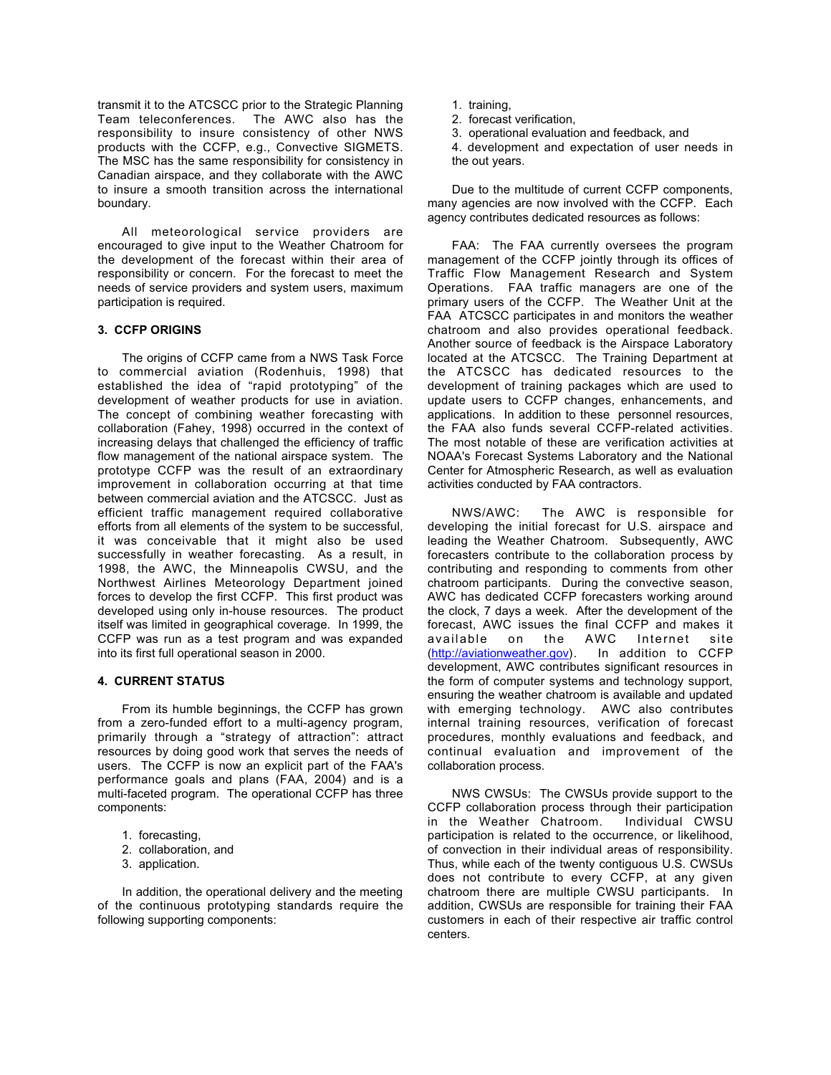transmit it to the ATCSCC prior to the Strategic Planning<br>Team teleconferences. The AWC also has the The AWC also has the responsibility to insure consistency of other NWS products with the CCFP, e.g., Convective SIGMETS. The MSC has the same responsibility for consistency in Canadian airspace, and they collaborate with the AWC to insure a smooth transition across the international boundary.

All meteorological service providers are encouraged to give input to the Weather Chatroom for the development of the forecast within their area of responsibility or concern. For the forecast to meet the needs of service providers and system users, maximum participation is required.

### **3. CCFP ORIGINS**

The origins of CCFP came from a NWS Task Force to commercial aviation (Rodenhuis, 1998) that established the idea of "rapid prototyping" of the development of weather products for use in aviation. The concept of combining weather forecasting with collaboration (Fahey, 1998) occurred in the context of increasing delays that challenged the efficiency of traffic flow management of the national airspace system. The prototype CCFP was the result of an extraordinary improvement in collaboration occurring at that time between commercial aviation and the ATCSCC. Just as efficient traffic management required collaborative efforts from all elements of the system to be successful, it was conceivable that it might also be used successfully in weather forecasting. As a result, in 1998, the AWC, the Minneapolis CWSU, and the Northwest Airlines Meteorology Department joined forces to develop the first CCFP. This first product was developed using only in-house resources. The product itself was limited in geographical coverage. In 1999, the CCFP was run as a test program and was expanded into its first full operational season in 2000.

## **4. CURRENT STATUS**

From its humble beginnings, the CCFP has grown from a zero-funded effort to a multi-agency program, primarily through a "strategy of attraction": attract resources by doing good work that serves the needs of users. The CCFP is now an explicit part of the FAA's performance goals and plans (FAA, 2004) and is a multi-faceted program. The operational CCFP has three components:

- 1. forecasting,
- 2. collaboration, and
- 3. application.

In addition, the operational delivery and the meeting of the continuous prototyping standards require the following supporting components:

- 1. training,
- 2. forecast verification,
- 3. operational evaluation and feedback, and
- 4. development and expectation of user needs in the out years.

Due to the multitude of current CCFP components, many agencies are now involved with the CCFP. Each agency contributes dedicated resources as follows:

FAA: The FAA currently oversees the program management of the CCFP jointly through its offices of Traffic Flow Management Research and System Operations. FAA traffic managers are one of the primary users of the CCFP. The Weather Unit at the FAA ATCSCC participates in and monitors the weather chatroom and also provides operational feedback. Another source of feedback is the Airspace Laboratory located at the ATCSCC. The Training Department at the ATCSCC has dedicated resources to the development of training packages which are used to update users to CCFP changes, enhancements, and applications. In addition to these personnel resources, the FAA also funds several CCFP-related activities. The most notable of these are verification activities at NOAA's Forecast Systems Laboratory and the National Center for Atmospheric Research, as well as evaluation activities conducted by FAA contractors.

NWS/AWC: The AWC is responsible for developing the initial forecast for U.S. airspace and leading the Weather Chatroom. Subsequently, AWC forecasters contribute to the collaboration process by contributing and responding to comments from other chatroom participants. During the convective season, AWC has dedicated CCFP forecasters working around the clock, 7 days a week. After the development of the forecast, AWC issues the final CCFP and makes it available on the AWC Internet site (http://aviationweather.gov). In addition to CCFP development, AWC contributes significant resources in the form of computer systems and technology support, ensuring the weather chatroom is available and updated with emerging technology. AWC also contributes internal training resources, verification of forecast procedures, monthly evaluations and feedback, and continual evaluation and improvement of the collaboration process.

NWS CWSUs: The CWSUs provide support to the CCFP collaboration process through their participation<br>in the Weather Chatroom. Individual CWSU in the Weather Chatroom. participation is related to the occurrence, or likelihood, of convection in their individual areas of responsibility. Thus, while each of the twenty contiguous U.S. CWSUs does not contribute to every CCFP, at any given chatroom there are multiple CWSU participants. In addition, CWSUs are responsible for training their FAA customers in each of their respective air traffic control centers.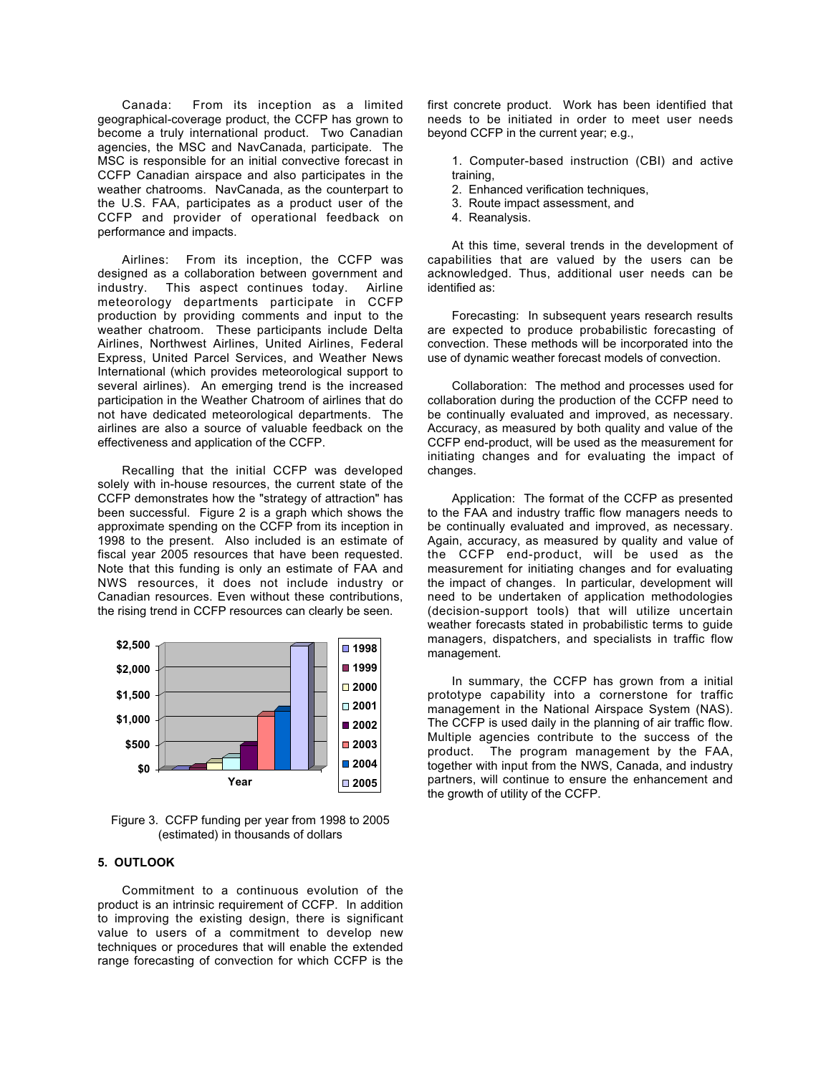Canada: From its inception as a limited geographical-coverage product, the CCFP has grown to become a truly international product. Two Canadian agencies, the MSC and NavCanada, participate. The MSC is responsible for an initial convective forecast in CCFP Canadian airspace and also participates in the weather chatrooms. NavCanada, as the counterpart to the U.S. FAA, participates as a product user of the CCFP and provider of operational feedback on performance and impacts.

Airlines: From its inception, the CCFP was designed as a collaboration between government and industry. This aspect continues today. Airline meteorology departments participate in CCFP production by providing comments and input to the weather chatroom. These participants include Delta Airlines, Northwest Airlines, United Airlines, Federal Express, United Parcel Services, and Weather News International (which provides meteorological support to several airlines). An emerging trend is the increased participation in the Weather Chatroom of airlines that do not have dedicated meteorological departments. The airlines are also a source of valuable feedback on the effectiveness and application of the CCFP.

Recalling that the initial CCFP was developed solely with in-house resources, the current state of the CCFP demonstrates how the "strategy of attraction" has been successful. Figure 2 is a graph which shows the approximate spending on the CCFP from its inception in 1998 to the present. Also included is an estimate of fiscal year 2005 resources that have been requested. Note that this funding is only an estimate of FAA and NWS resources, it does not include industry or Canadian resources. Even without these contributions, the rising trend in CCFP resources can clearly be seen.



Figure 3. CCFP funding per year from 1998 to 2005 (estimated) in thousands of dollars

# **5. OUTLOOK**

Commitment to a continuous evolution of the product is an intrinsic requirement of CCFP. In addition to improving the existing design, there is significant value to users of a commitment to develop new techniques or procedures that will enable the extended range forecasting of convection for which CCFP is the

first concrete product. Work has been identified that needs to be initiated in order to meet user needs beyond CCFP in the current year; e.g.,

1. Computer-based instruction (CBI) and active training,

- 2. Enhanced verification techniques,
- 3. Route impact assessment, and
- 4. Reanalysis.

At this time, several trends in the development of capabilities that are valued by the users can be acknowledged. Thus, additional user needs can be identified as:

Forecasting: In subsequent years research results are expected to produce probabilistic forecasting of convection. These methods will be incorporated into the use of dynamic weather forecast models of convection.

Collaboration: The method and processes used for collaboration during the production of the CCFP need to be continually evaluated and improved, as necessary. Accuracy, as measured by both quality and value of the CCFP end-product, will be used as the measurement for initiating changes and for evaluating the impact of changes.

Application: The format of the CCFP as presented to the FAA and industry traffic flow managers needs to be continually evaluated and improved, as necessary. Again, accuracy, as measured by quality and value of the CCFP end-product, will be used as the measurement for initiating changes and for evaluating the impact of changes. In particular, development will need to be undertaken of application methodologies (decision-support tools) that will utilize uncertain weather forecasts stated in probabilistic terms to guide managers, dispatchers, and specialists in traffic flow management.

In summary, the CCFP has grown from a initial prototype capability into a cornerstone for traffic management in the National Airspace System (NAS). The CCFP is used daily in the planning of air traffic flow. Multiple agencies contribute to the success of the product. The program management by the FAA, together with input from the NWS, Canada, and industry partners, will continue to ensure the enhancement and the growth of utility of the CCFP.